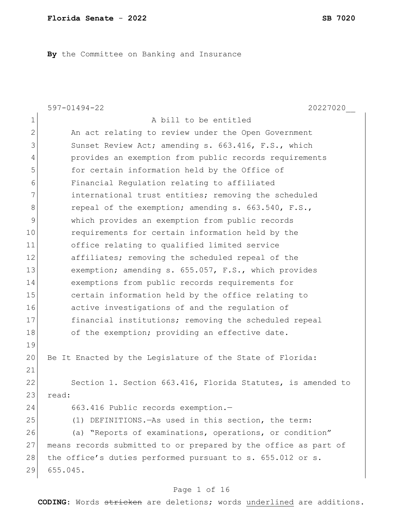**By** the Committee on Banking and Insurance

|              | $597 - 01494 - 22$<br>20227020                                  |
|--------------|-----------------------------------------------------------------|
| $\mathbf 1$  | A bill to be entitled                                           |
| $\mathbf{2}$ | An act relating to review under the Open Government             |
| 3            | Sunset Review Act; amending s. 663.416, F.S., which             |
| 4            | provides an exemption from public records requirements          |
| 5            | for certain information held by the Office of                   |
| 6            | Financial Regulation relating to affiliated                     |
| 7            | international trust entities; removing the scheduled            |
| $8\,$        | repeal of the exemption; amending s. 663.540, F.S.,             |
| $\mathsf 9$  | which provides an exemption from public records                 |
| 10           | requirements for certain information held by the                |
| 11           | office relating to qualified limited service                    |
| 12           | affiliates; removing the scheduled repeal of the                |
| 13           | exemption; amending s. 655.057, F.S., which provides            |
| 14           | exemptions from public records requirements for                 |
| 15           | certain information held by the office relating to              |
| 16           | active investigations of and the regulation of                  |
| 17           | financial institutions; removing the scheduled repeal           |
| 18           | of the exemption; providing an effective date.                  |
| 19           |                                                                 |
| 20           | Be It Enacted by the Legislature of the State of Florida:       |
| 21           |                                                                 |
| 22           | Section 1. Section 663.416, Florida Statutes, is amended to     |
| 23           | read:                                                           |
| 24           | 663.416 Public records exemption.-                              |
| 25           | (1) DEFINITIONS. - As used in this section, the term:           |
| 26           | (a) "Reports of examinations, operations, or condition"         |
| 27           | means records submitted to or prepared by the office as part of |
| 28           | the office's duties performed pursuant to s. 655.012 or s.      |
| 29           | 655.045.                                                        |

# Page 1 of 16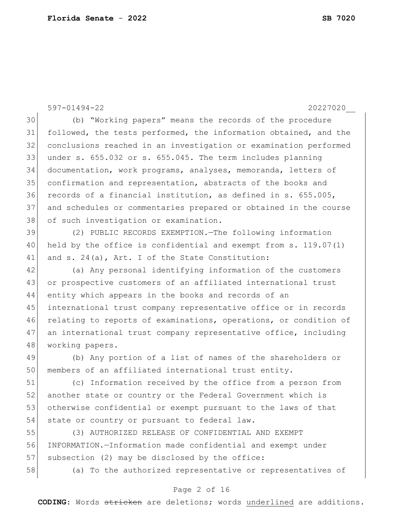597-01494-22 20227020\_\_ (b) "Working papers" means the records of the procedure followed, the tests performed, the information obtained, and the conclusions reached in an investigation or examination performed under s. 655.032 or s. 655.045. The term includes planning documentation, work programs, analyses, memoranda, letters of confirmation and representation, abstracts of the books and 36 records of a financial institution, as defined in s. 655.005, and schedules or commentaries prepared or obtained in the course 38 of such investigation or examination. (2) PUBLIC RECORDS EXEMPTION.—The following information 40 held by the office is confidential and exempt from s. 119.07(1) 41 and s. 24(a), Art. I of the State Constitution: (a) Any personal identifying information of the customers or prospective customers of an affiliated international trust entity which appears in the books and records of an international trust company representative office or in records relating to reports of examinations, operations, or condition of 47 an international trust company representative office, including 48 working papers. (b) Any portion of a list of names of the shareholders or members of an affiliated international trust entity. (c) Information received by the office from a person from 52 another state or country or the Federal Government which is otherwise confidential or exempt pursuant to the laws of that 54 state or country or pursuant to federal law. (3) AUTHORIZED RELEASE OF CONFIDENTIAL AND EXEMPT INFORMATION.—Information made confidential and exempt under

57 subsection (2) may be disclosed by the office:

(a) To the authorized representative or representatives of

### Page 2 of 16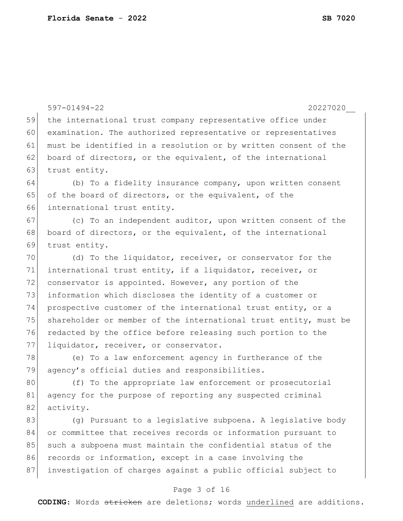|    | $597 - 01494 - 22$<br>20227020                                   |
|----|------------------------------------------------------------------|
| 59 | the international trust company representative office under      |
| 60 | examination. The authorized representative or representatives    |
| 61 | must be identified in a resolution or by written consent of the  |
| 62 | board of directors, or the equivalent, of the international      |
| 63 | trust entity.                                                    |
| 64 | (b) To a fidelity insurance company, upon written consent        |
| 65 | of the board of directors, or the equivalent, of the             |
| 66 | international trust entity.                                      |
| 67 | (c) To an independent auditor, upon written consent of the       |
| 68 | board of directors, or the equivalent, of the international      |
| 69 | trust entity.                                                    |
| 70 | (d) To the liquidator, receiver, or conservator for the          |
| 71 | international trust entity, if a liquidator, receiver, or        |
| 72 | conservator is appointed. However, any portion of the            |
| 73 | information which discloses the identity of a customer or        |
| 74 | prospective customer of the international trust entity, or a     |
| 75 | shareholder or member of the international trust entity, must be |
| 76 | redacted by the office before releasing such portion to the      |
| 77 | liquidator, receiver, or conservator.                            |
| 78 | (e) To a law enforcement agency in furtherance of the            |
| 79 | agency's official duties and responsibilities.                   |
| 80 | (f) To the appropriate law enforcement or prosecutorial          |
| 81 | agency for the purpose of reporting any suspected criminal       |
| 82 | activity.                                                        |
| 83 | (g) Pursuant to a legislative subpoena. A legislative body       |
| 84 | or committee that receives records or information pursuant to    |
| 85 | such a subpoena must maintain the confidential status of the     |
| 86 | records or information, except in a case involving the           |
| 87 | investigation of charges against a public official subject to    |
|    | $P=0.2$ $R = 16$                                                 |

## Page 3 of 16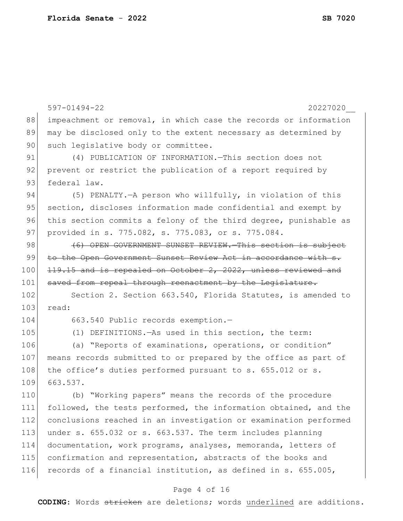|     | $597 - 01494 - 22$<br>20227020                                   |
|-----|------------------------------------------------------------------|
| 88  | impeachment or removal, in which case the records or information |
| 89  | may be disclosed only to the extent necessary as determined by   |
| 90  | such legislative body or committee.                              |
| 91  | (4) PUBLICATION OF INFORMATION. This section does not            |
| 92  | prevent or restrict the publication of a report required by      |
| 93  | federal law.                                                     |
| 94  | (5) PENALTY. - A person who willfully, in violation of this      |
| 95  | section, discloses information made confidential and exempt by   |
| 96  | this section commits a felony of the third degree, punishable as |
| 97  | provided in s. 775.082, s. 775.083, or s. 775.084.               |
| 98  | (6) OPEN GOVERNMENT SUNSET REVIEW. This section is subject       |
| 99  | to the Open Government Sunset Review Act in accordance with s.   |
| 100 | 119.15 and is repealed on October 2, 2022, unless reviewed and   |
| 101 | saved from repeal through reenactment by the Legislature.        |
| 102 | Section 2. Section 663.540, Florida Statutes, is amended to      |
| 103 | read:                                                            |
| 104 | 663.540 Public records exemption.-                               |
| 105 | (1) DEFINITIONS. - As used in this section, the term:            |
| 106 | (a) "Reports of examinations, operations, or condition"          |
| 107 | means records submitted to or prepared by the office as part of  |
| 108 | the office's duties performed pursuant to s. 655.012 or s.       |
| 109 | 663.537.                                                         |
| 110 | (b) "Working papers" means the records of the procedure          |
| 111 | followed, the tests performed, the information obtained, and the |
| 112 | conclusions reached in an investigation or examination performed |
| 113 | under s. 655.032 or s. 663.537. The term includes planning       |
| 114 | documentation, work programs, analyses, memoranda, letters of    |
| 115 | confirmation and representation, abstracts of the books and      |
| 116 | records of a financial institution, as defined in s. 655.005,    |
|     |                                                                  |

## Page 4 of 16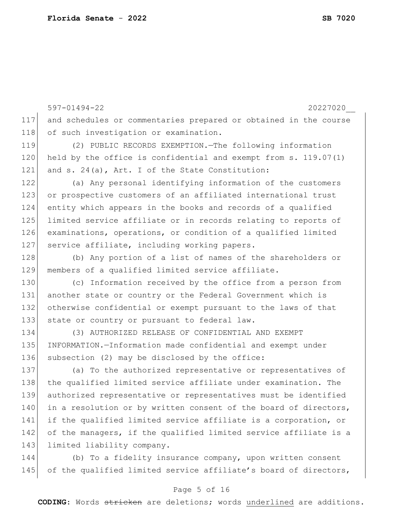597-01494-22 20227020\_\_ 117 and schedules or commentaries prepared or obtained in the course 118 of such investigation or examination. 119 (2) PUBLIC RECORDS EXEMPTION.—The following information 120 held by the office is confidential and exempt from s. 119.07(1) 121 and s. 24(a), Art. I of the State Constitution: 122 (a) Any personal identifying information of the customers 123 or prospective customers of an affiliated international trust 124 entity which appears in the books and records of a qualified 125 limited service affiliate or in records relating to reports of 126 examinations, operations, or condition of a qualified limited 127 service affiliate, including working papers. 128 (b) Any portion of a list of names of the shareholders or 129 members of a qualified limited service affiliate. 130 (c) Information received by the office from a person from 131 another state or country or the Federal Government which is 132 otherwise confidential or exempt pursuant to the laws of that 133 state or country or pursuant to federal law. 134 (3) AUTHORIZED RELEASE OF CONFIDENTIAL AND EXEMPT 135 INFORMATION.—Information made confidential and exempt under 136 subsection (2) may be disclosed by the office: 137 (a) To the authorized representative or representatives of 138 the qualified limited service affiliate under examination. The 139 authorized representative or representatives must be identified 140 in a resolution or by written consent of the board of directors, 141 if the qualified limited service affiliate is a corporation, or 142 of the managers, if the qualified limited service affiliate is a 143 limited liability company. 144 (b) To a fidelity insurance company, upon written consent 145 of the qualified limited service affiliate's board of directors,

## Page 5 of 16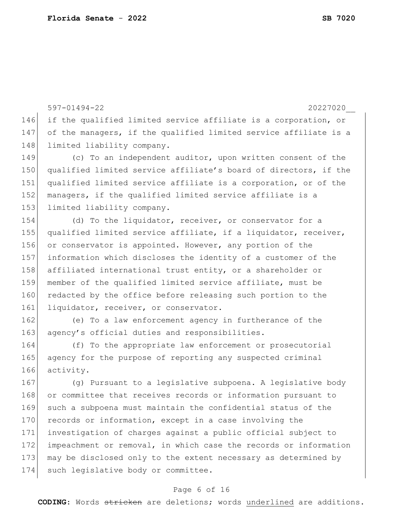597-01494-22 20227020\_\_ 146 if the qualified limited service affiliate is a corporation, or 147 of the managers, if the qualified limited service affiliate is a 148 limited liability company. 149 (c) To an independent auditor, upon written consent of the 150 qualified limited service affiliate's board of directors, if the 151 qualified limited service affiliate is a corporation, or of the 152 managers, if the qualified limited service affiliate is a 153 limited liability company. 154 (d) To the liquidator, receiver, or conservator for a 155 qualified limited service affiliate, if a liquidator, receiver, 156 or conservator is appointed. However, any portion of the 157 information which discloses the identity of a customer of the 158 affiliated international trust entity, or a shareholder or 159 member of the qualified limited service affiliate, must be 160 redacted by the office before releasing such portion to the 161 liquidator, receiver, or conservator. 162 (e) To a law enforcement agency in furtherance of the 163 agency's official duties and responsibilities. 164 (f) To the appropriate law enforcement or prosecutorial 165 agency for the purpose of reporting any suspected criminal 166 activity. 167 (g) Pursuant to a legislative subpoena. A legislative body 168 or committee that receives records or information pursuant to

 such a subpoena must maintain the confidential status of the 170 records or information, except in a case involving the investigation of charges against a public official subject to impeachment or removal, in which case the records or information may be disclosed only to the extent necessary as determined by 174 such legislative body or committee.

### Page 6 of 16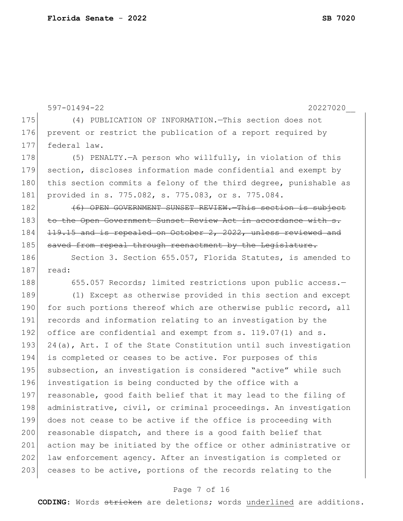```
597-01494-22 20227020__
175 (4) PUBLICATION OF INFORMATION.—This section does not 
176 prevent or restrict the publication of a report required by
177 federal law.
178 (5) PENALTY.—A person who willfully, in violation of this
179 section, discloses information made confidential and exempt by 
180 this section commits a felony of the third degree, punishable as
181 provided in s. 775.082, s. 775.083, or s. 775.084.
182 (6) OPEN GOVERNMENT SUNSET REVIEW. This section is subject
183 to the Open Government Sunset Review Act in accordance with s.
184 <del>119.15 and is repealed on October 2, 2022, unless reviewed and</del>
185 saved from repeal through reenactment by the Legislature.
186 Section 3. Section 655.057, Florida Statutes, is amended to
187 read:
188 655.057 Records; limited restrictions upon public access.-
189 (1) Except as otherwise provided in this section and except 
190 for such portions thereof which are otherwise public record, all
191 records and information relating to an investigation by the
192 office are confidential and exempt from s. 119.07(1) and s.
193 24(a), Art. I of the State Constitution until such investigation
194 is completed or ceases to be active. For purposes of this 
195 subsection, an investigation is considered "active" while such
196 investigation is being conducted by the office with a 
197 reasonable, good faith belief that it may lead to the filing of
198 administrative, civil, or criminal proceedings. An investigation
199 does not cease to be active if the office is proceeding with 
200 reasonable dispatch, and there is a good faith belief that
201 action may be initiated by the office or other administrative or
202 law enforcement agency. After an investigation is completed or
203 ceases to be active, portions of the records relating to the
```
## Page 7 of 16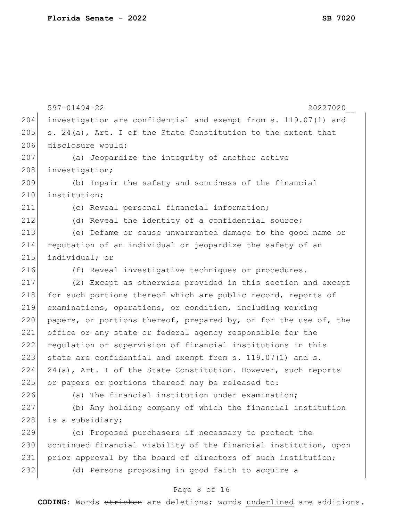|     | $597 - 01494 - 22$<br>20227020                                   |
|-----|------------------------------------------------------------------|
| 204 | investigation are confidential and exempt from s. 119.07(1) and  |
| 205 | s. 24(a), Art. I of the State Constitution to the extent that    |
| 206 | disclosure would:                                                |
| 207 | (a) Jeopardize the integrity of another active                   |
| 208 | investigation;                                                   |
| 209 | (b) Impair the safety and soundness of the financial             |
| 210 | institution;                                                     |
| 211 | (c) Reveal personal financial information;                       |
| 212 | (d) Reveal the identity of a confidential source;                |
| 213 | (e) Defame or cause unwarranted damage to the good name or       |
| 214 | reputation of an individual or jeopardize the safety of an       |
| 215 | individual; or                                                   |
| 216 | (f) Reveal investigative techniques or procedures.               |
| 217 | (2) Except as otherwise provided in this section and except      |
| 218 | for such portions thereof which are public record, reports of    |
| 219 | examinations, operations, or condition, including working        |
| 220 | papers, or portions thereof, prepared by, or for the use of, the |
| 221 | office or any state or federal agency responsible for the        |
| 222 | regulation or supervision of financial institutions in this      |
| 223 | state are confidential and exempt from s. 119.07(1) and s.       |
| 224 | 24(a), Art. I of the State Constitution. However, such reports   |
| 225 | or papers or portions thereof may be released to:                |
| 226 | (a) The financial institution under examination;                 |
| 227 | (b) Any holding company of which the financial institution       |
| 228 | is a subsidiary;                                                 |
| 229 | (c) Proposed purchasers if necessary to protect the              |
| 230 | continued financial viability of the financial institution, upon |
| 231 | prior approval by the board of directors of such institution;    |
| 232 | (d) Persons proposing in good faith to acquire a                 |
|     | Page 8 of 16                                                     |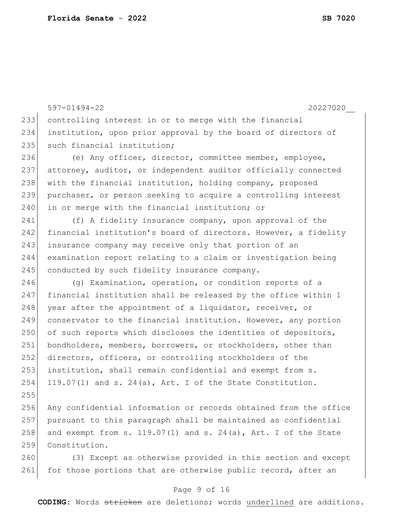|     | $597 - 01494 - 22$<br>20227020                                      |
|-----|---------------------------------------------------------------------|
| 233 | controlling interest in or to merge with the financial              |
| 234 | institution, upon prior approval by the board of directors of       |
| 235 | such financial institution;                                         |
| 236 | (e) Any officer, director, committee member, employee,              |
| 237 | attorney, auditor, or independent auditor officially connected      |
| 238 | with the financial institution, holding company, proposed           |
| 239 | purchaser, or person seeking to acquire a controlling interest      |
| 240 | in or merge with the financial institution; or                      |
| 241 | (f) A fidelity insurance company, upon approval of the              |
| 242 | financial institution's board of directors. However, a fidelity     |
| 243 | insurance company may receive only that portion of an               |
| 244 | examination report relating to a claim or investigation being       |
| 245 | conducted by such fidelity insurance company.                       |
| 246 | (g) Examination, operation, or condition reports of a               |
| 247 | financial institution shall be released by the office within 1      |
| 248 | year after the appointment of a liquidator, receiver, or            |
| 249 | conservator to the financial institution. However, any portion      |
| 250 | of such reports which discloses the identities of depositors,       |
| 251 | bondholders, members, borrowers, or stockholders, other than        |
| 252 | directors, officers, or controlling stockholders of the             |
| 253 | institution, shall remain confidential and exempt from s.           |
| 254 | 119.07(1) and s. 24(a), Art. I of the State Constitution.           |
| 255 |                                                                     |
| 256 | Any confidential information or records obtained from the office    |
| 257 | pursuant to this paragraph shall be maintained as confidential      |
| 258 | and exempt from s. $119.07(1)$ and s. $24(a)$ , Art. I of the State |
| 259 | Constitution.                                                       |
| 260 | (3) Except as otherwise provided in this section and except         |
| 261 | for those portions that are otherwise public record, after an       |

# Page 9 of 16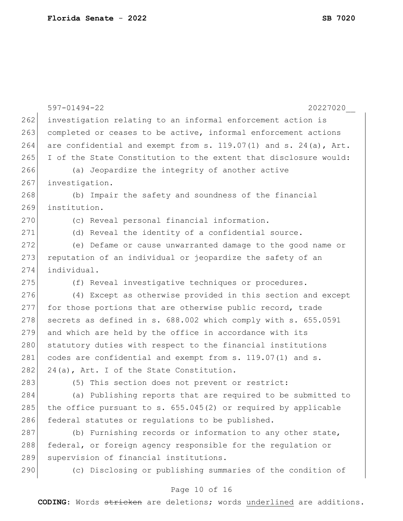|     | $597 - 01494 - 22$<br>20227020                                        |
|-----|-----------------------------------------------------------------------|
| 262 | investigation relating to an informal enforcement action is           |
| 263 | completed or ceases to be active, informal enforcement actions        |
| 264 | are confidential and exempt from s. $119.07(1)$ and s. $24(a)$ , Art. |
| 265 | I of the State Constitution to the extent that disclosure would:      |
| 266 | (a) Jeopardize the integrity of another active                        |
| 267 | investigation.                                                        |
| 268 | (b) Impair the safety and soundness of the financial                  |
| 269 | institution.                                                          |
| 270 | (c) Reveal personal financial information.                            |
| 271 | (d) Reveal the identity of a confidential source.                     |
| 272 | (e) Defame or cause unwarranted damage to the good name or            |
| 273 | reputation of an individual or jeopardize the safety of an            |
| 274 | individual.                                                           |
| 275 | (f) Reveal investigative techniques or procedures.                    |
| 276 | (4) Except as otherwise provided in this section and except           |
| 277 | for those portions that are otherwise public record, trade            |
| 278 | secrets as defined in s. 688.002 which comply with s. 655.0591        |
| 279 | and which are held by the office in accordance with its               |
| 280 | statutory duties with respect to the financial institutions           |
| 281 | codes are confidential and exempt from s. 119.07(1) and s.            |
| 282 | 24(a), Art. I of the State Constitution.                              |
| 283 | (5) This section does not prevent or restrict:                        |
| 284 | (a) Publishing reports that are required to be submitted to           |
| 285 | the office pursuant to s. $655.045(2)$ or required by applicable      |
| 286 | federal statutes or regulations to be published.                      |
| 287 | (b) Furnishing records or information to any other state,             |
| 288 | federal, or foreign agency responsible for the regulation or          |
| 289 | supervision of financial institutions.                                |
| 290 | (c) Disclosing or publishing summaries of the condition of            |
|     |                                                                       |

## Page 10 of 16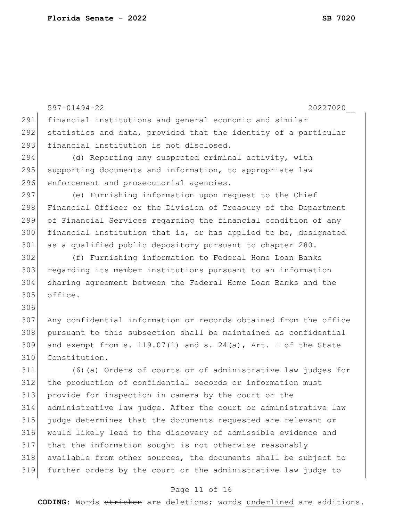```
597-01494-22 20227020__
291 financial institutions and general economic and similar 
292 statistics and data, provided that the identity of a particular
293 financial institution is not disclosed.
294 (d) Reporting any suspected criminal activity, with
295 supporting documents and information, to appropriate law
296 enforcement and prosecutorial agencies.
297 (e) Furnishing information upon request to the Chief
298 Financial Officer or the Division of Treasury of the Department
299 of Financial Services regarding the financial condition of any 
300 financial institution that is, or has applied to be, designated 
301 as a qualified public depository pursuant to chapter 280.
302 (f) Furnishing information to Federal Home Loan Banks 
303 regarding its member institutions pursuant to an information 
304 sharing agreement between the Federal Home Loan Banks and the 
305 office.
306
307 Any confidential information or records obtained from the office 
308 pursuant to this subsection shall be maintained as confidential 
309 and exempt from s. 119.07(1) and s. 24(a), Art. I of the State
310 Constitution.
311 (6)(a) Orders of courts or of administrative law judges for 
312 the production of confidential records or information must 
313 provide for inspection in camera by the court or the 
314 administrative law judge. After the court or administrative law 
315 judge determines that the documents requested are relevant or 
316 would likely lead to the discovery of admissible evidence and 
317 that the information sought is not otherwise reasonably 
318 available from other sources, the documents shall be subject to 
319 further orders by the court or the administrative law judge to
```
### Page 11 of 16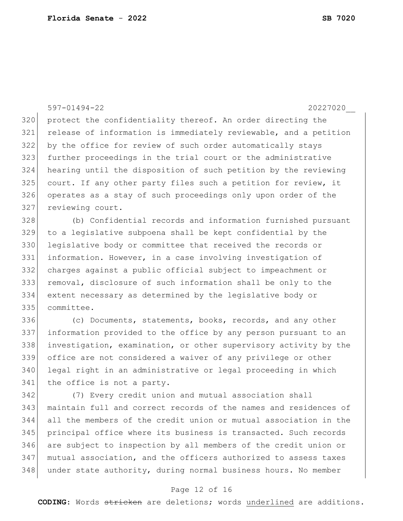597-01494-22 20227020\_\_ 320 protect the confidentiality thereof. An order directing the release of information is immediately reviewable, and a petition by the office for review of such order automatically stays further proceedings in the trial court or the administrative hearing until the disposition of such petition by the reviewing court. If any other party files such a petition for review, it operates as a stay of such proceedings only upon order of the 327 reviewing court.

 (b) Confidential records and information furnished pursuant to a legislative subpoena shall be kept confidential by the 330 legislative body or committee that received the records or information. However, in a case involving investigation of charges against a public official subject to impeachment or removal, disclosure of such information shall be only to the extent necessary as determined by the legislative body or committee.

336 (c) Documents, statements, books, records, and any other information provided to the office by any person pursuant to an investigation, examination, or other supervisory activity by the office are not considered a waiver of any privilege or other legal right in an administrative or legal proceeding in which 341 the office is not a party.

 (7) Every credit union and mutual association shall maintain full and correct records of the names and residences of all the members of the credit union or mutual association in the principal office where its business is transacted. Such records are subject to inspection by all members of the credit union or mutual association, and the officers authorized to assess taxes 348 under state authority, during normal business hours. No member

### Page 12 of 16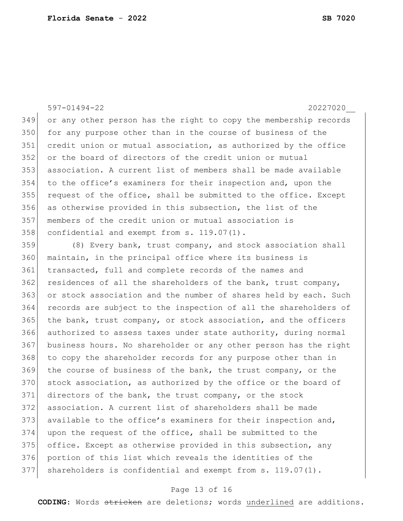597-01494-22 20227020\_\_ or any other person has the right to copy the membership records 350 for any purpose other than in the course of business of the credit union or mutual association, as authorized by the office or the board of directors of the credit union or mutual association. A current list of members shall be made available to the office's examiners for their inspection and, upon the 355 request of the office, shall be submitted to the office. Except as otherwise provided in this subsection, the list of the members of the credit union or mutual association is 358 confidential and exempt from s. 119.07(1). 359 (8) Every bank, trust company, and stock association shall

360 maintain, in the principal office where its business is transacted, full and complete records of the names and residences of all the shareholders of the bank, trust company, or stock association and the number of shares held by each. Such records are subject to the inspection of all the shareholders of the bank, trust company, or stock association, and the officers authorized to assess taxes under state authority, during normal business hours. No shareholder or any other person has the right 368 to copy the shareholder records for any purpose other than in the course of business of the bank, the trust company, or the 370 stock association, as authorized by the office or the board of directors of the bank, the trust company, or the stock association. A current list of shareholders shall be made available to the office's examiners for their inspection and, upon the request of the office, shall be submitted to the office. Except as otherwise provided in this subsection, any portion of this list which reveals the identities of the 377 shareholders is confidential and exempt from s. 119.07(1).

### Page 13 of 16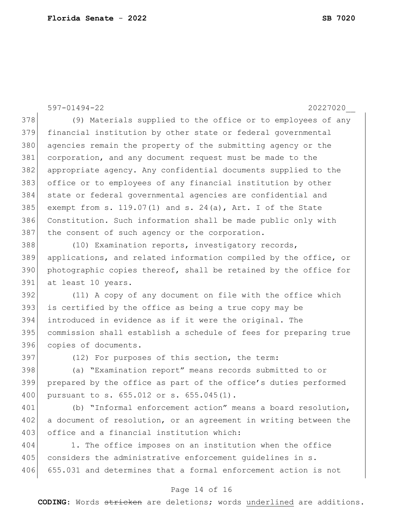597-01494-22 20227020\_\_ 378 (9) Materials supplied to the office or to employees of any financial institution by other state or federal governmental 380 agencies remain the property of the submitting agency or the corporation, and any document request must be made to the appropriate agency. Any confidential documents supplied to the office or to employees of any financial institution by other state or federal governmental agencies are confidential and 385 exempt from s. 119.07(1) and s. 24(a), Art. I of the State Constitution. Such information shall be made public only with 387 the consent of such agency or the corporation. (10) Examination reports, investigatory records, applications, and related information compiled by the office, or photographic copies thereof, shall be retained by the office for at least 10 years. (11) A copy of any document on file with the office which 393 is certified by the office as being a true copy may be introduced in evidence as if it were the original. The commission shall establish a schedule of fees for preparing true 396 copies of documents. 397 (12) For purposes of this section, the term: (a) "Examination report" means records submitted to or prepared by the office as part of the office's duties performed 400 pursuant to s. 655.012 or s. 655.045(1). (b) "Informal enforcement action" means a board resolution, 402 a document of resolution, or an agreement in writing between the

404 1. The office imposes on an institution when the office 405 considers the administrative enforcement guidelines in s. 406 655.031 and determines that a formal enforcement action is not

403 office and a financial institution which:

### Page 14 of 16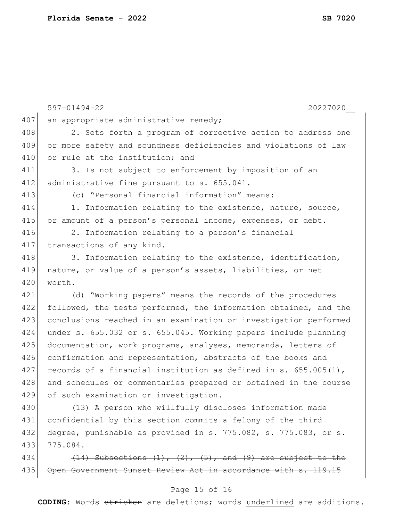|     | 20227020<br>$597 - 01494 - 22$                                          |
|-----|-------------------------------------------------------------------------|
| 407 | an appropriate administrative remedy;                                   |
| 408 | 2. Sets forth a program of corrective action to address one             |
| 409 | or more safety and soundness deficiencies and violations of law         |
| 410 | or rule at the institution; and                                         |
| 411 | 3. Is not subject to enforcement by imposition of an                    |
| 412 | administrative fine pursuant to s. 655.041.                             |
| 413 | (c) "Personal financial information" means:                             |
| 414 | 1. Information relating to the existence, nature, source,               |
| 415 | or amount of a person's personal income, expenses, or debt.             |
| 416 | 2. Information relating to a person's financial                         |
| 417 | transactions of any kind.                                               |
| 418 | 3. Information relating to the existence, identification,               |
| 419 | nature, or value of a person's assets, liabilities, or net              |
| 420 | worth.                                                                  |
| 421 | (d) "Working papers" means the records of the procedures                |
| 422 | followed, the tests performed, the information obtained, and the        |
| 423 | conclusions reached in an examination or investigation performed        |
| 424 | under s. 655.032 or s. 655.045. Working papers include planning         |
| 425 | documentation, work programs, analyses, memoranda, letters of           |
| 426 | confirmation and representation, abstracts of the books and             |
| 427 | records of a financial institution as defined in s. $655.005(1)$ ,      |
| 428 | and schedules or commentaries prepared or obtained in the course        |
| 429 | of such examination or investigation.                                   |
| 430 | (13) A person who willfully discloses information made                  |
| 431 | confidential by this section commits a felony of the third              |
| 432 | degree, punishable as provided in s. 775.082, s. 775.083, or s.         |
| 433 | 775.084.                                                                |
| 434 | $(14)$ Subsections $(1)$ , $(2)$ , $(5)$ , and $(9)$ are subject to the |
| 435 | Open Government Sunset Review Act in accordance with s. 119.15          |

# Page 15 of 16